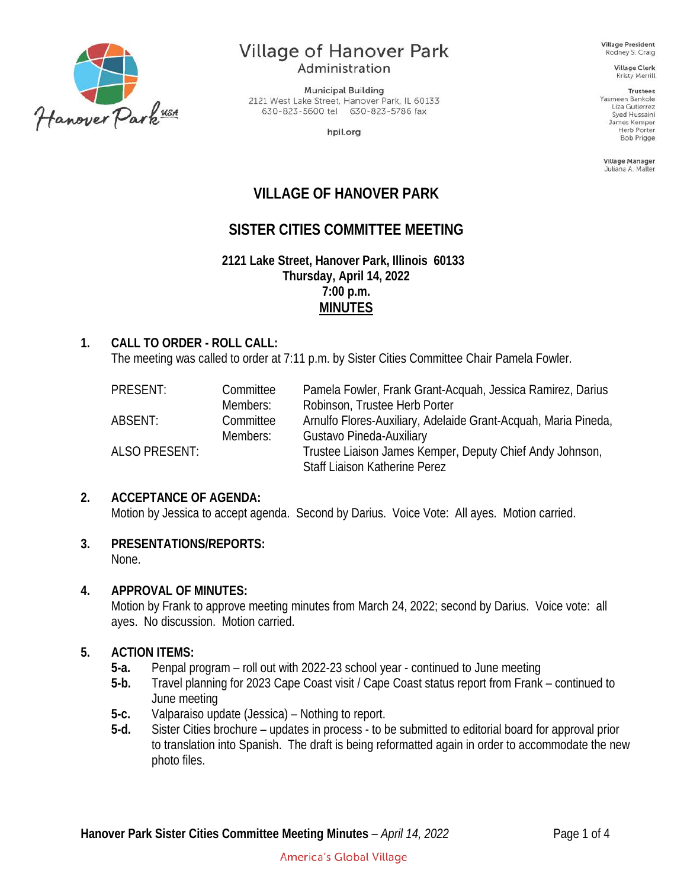

# **Village of Hanover Park**

Administration

**Municipal Building** 2121 West Lake Street, Hanover Park, IL 60133 630-823-5600 tel 630-823-5786 fax

hpil.org

**Village President** Rodney S. Craig

**Village Clerk** Kristy Merrill

**Trustees** Yasmeen Bankole Liza Gutierrez Syed Hussaini James Kemper **Herb Porter** Bob Prigge

Village Manager Juliana A. Maller

## **VILLAGE OF HANOVER PARK**

## **SISTER CITIES COMMITTEE MEETING**

**2121 Lake Street, Hanover Park, Illinois 60133 Thursday, April 14, 2022 7:00 p.m. MINUTES**

#### **1. CALL TO ORDER - ROLL CALL:**

The meeting was called to order at 7:11 p.m. by Sister Cities Committee Chair Pamela Fowler.

| PRESENT:      | Committee | Pamela Fowler, Frank Grant-Acquah, Jessica Ramirez, Darius     |
|---------------|-----------|----------------------------------------------------------------|
|               | Members:  | Robinson, Trustee Herb Porter                                  |
| ABSENT:       | Committee | Arnulfo Flores-Auxiliary, Adelaide Grant-Acquah, Maria Pineda, |
|               | Members:  | Gustavo Pineda-Auxiliary                                       |
| ALSO PRESENT: |           | Trustee Liaison James Kemper, Deputy Chief Andy Johnson,       |
|               |           | Staff Liaison Katherine Perez                                  |

#### **2. ACCEPTANCE OF AGENDA:**

Motion by Jessica to accept agenda. Second by Darius. Voice Vote: All ayes. Motion carried.

## **3. PRESENTATIONS/REPORTS:**

None.

#### **4. APPROVAL OF MINUTES:**

Motion by Frank to approve meeting minutes from March 24, 2022; second by Darius. Voice vote: all ayes. No discussion. Motion carried.

#### **5. ACTION ITEMS:**

- **5-a.** Penpal program roll out with 2022-23 school year continued to June meeting
- **5-b.** Travel planning for 2023 Cape Coast visit / Cape Coast status report from Frank continued to June meeting
- **5-c.** Valparaiso update (Jessica) Nothing to report.
- **5-d.** Sister Cities brochure updates in process to be submitted to editorial board for approval prior to translation into Spanish. The draft is being reformatted again in order to accommodate the new photo files.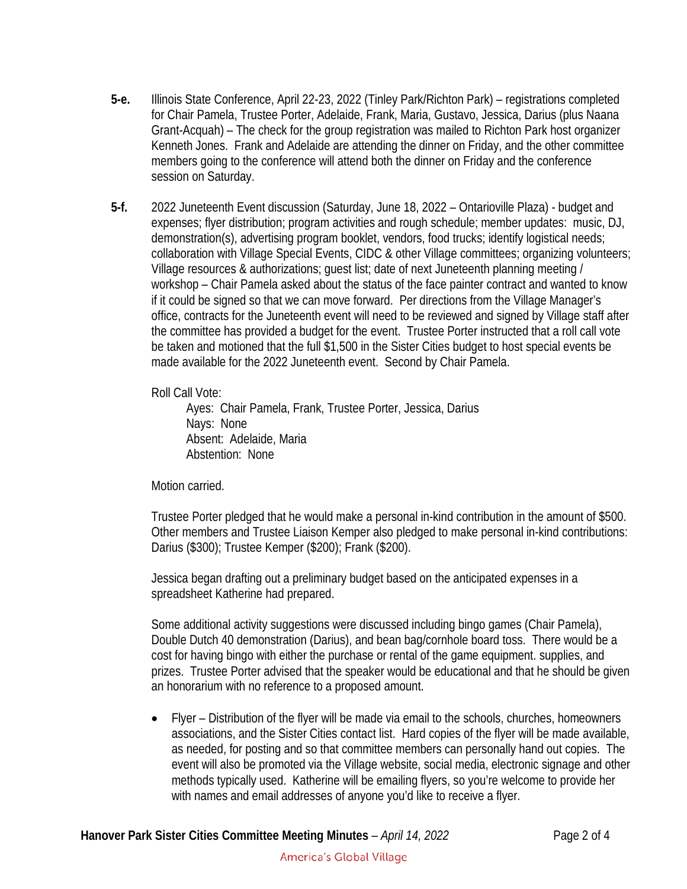- **5-e.** Illinois State Conference, April 22-23, 2022 (Tinley Park/Richton Park) registrations completed for Chair Pamela, Trustee Porter, Adelaide, Frank, Maria, Gustavo, Jessica, Darius (plus Naana Grant-Acquah) – The check for the group registration was mailed to Richton Park host organizer Kenneth Jones. Frank and Adelaide are attending the dinner on Friday, and the other committee members going to the conference will attend both the dinner on Friday and the conference session on Saturday.
- **5-f.** 2022 Juneteenth Event discussion (Saturday, June 18, 2022 Ontarioville Plaza) budget and expenses; flyer distribution; program activities and rough schedule; member updates: music, DJ, demonstration(s), advertising program booklet, vendors, food trucks; identify logistical needs; collaboration with Village Special Events, CIDC & other Village committees; organizing volunteers; Village resources & authorizations; guest list; date of next Juneteenth planning meeting / workshop – Chair Pamela asked about the status of the face painter contract and wanted to know if it could be signed so that we can move forward. Per directions from the Village Manager's office, contracts for the Juneteenth event will need to be reviewed and signed by Village staff after the committee has provided a budget for the event. Trustee Porter instructed that a roll call vote be taken and motioned that the full \$1,500 in the Sister Cities budget to host special events be made available for the 2022 Juneteenth event. Second by Chair Pamela.

Roll Call Vote:

Ayes: Chair Pamela, Frank, Trustee Porter, Jessica, Darius Nays: None Absent: Adelaide, Maria Abstention: None

Motion carried.

Trustee Porter pledged that he would make a personal in-kind contribution in the amount of \$500. Other members and Trustee Liaison Kemper also pledged to make personal in-kind contributions: Darius (\$300); Trustee Kemper (\$200); Frank (\$200).

Jessica began drafting out a preliminary budget based on the anticipated expenses in a spreadsheet Katherine had prepared.

Some additional activity suggestions were discussed including bingo games (Chair Pamela), Double Dutch 40 demonstration (Darius), and bean bag/cornhole board toss. There would be a cost for having bingo with either the purchase or rental of the game equipment. supplies, and prizes. Trustee Porter advised that the speaker would be educational and that he should be given an honorarium with no reference to a proposed amount.

• Flyer – Distribution of the flyer will be made via email to the schools, churches, homeowners associations, and the Sister Cities contact list. Hard copies of the flyer will be made available, as needed, for posting and so that committee members can personally hand out copies. The event will also be promoted via the Village website, social media, electronic signage and other methods typically used. Katherine will be emailing flyers, so you're welcome to provide her with names and email addresses of anyone you'd like to receive a flyer.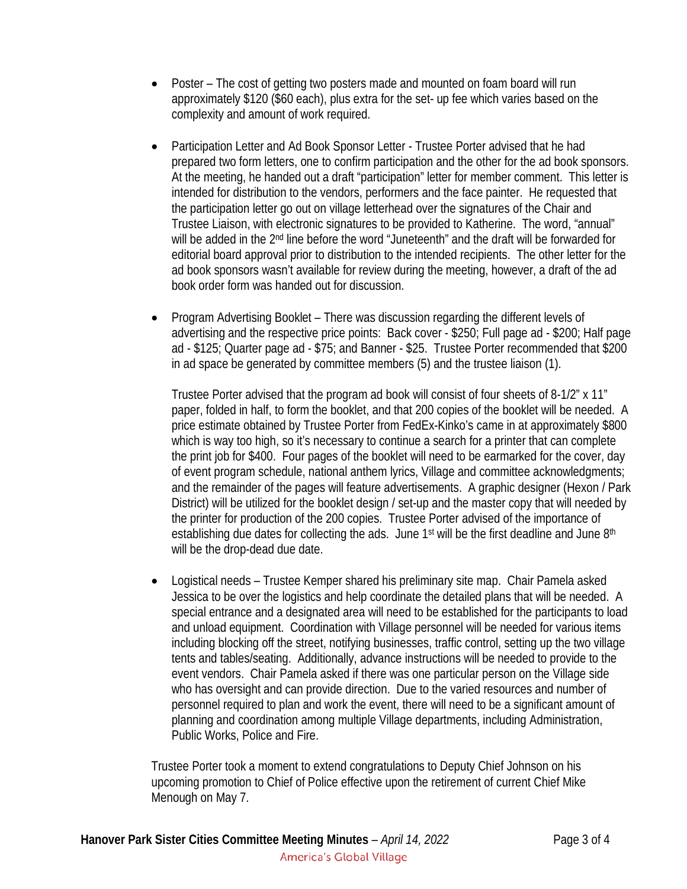- Poster The cost of getting two posters made and mounted on foam board will run approximately \$120 (\$60 each), plus extra for the set- up fee which varies based on the complexity and amount of work required.
- Participation Letter and Ad Book Sponsor Letter Trustee Porter advised that he had prepared two form letters, one to confirm participation and the other for the ad book sponsors. At the meeting, he handed out a draft "participation" letter for member comment. This letter is intended for distribution to the vendors, performers and the face painter. He requested that the participation letter go out on village letterhead over the signatures of the Chair and Trustee Liaison, with electronic signatures to be provided to Katherine. The word, "annual" will be added in the 2<sup>nd</sup> line before the word "Juneteenth" and the draft will be forwarded for editorial board approval prior to distribution to the intended recipients. The other letter for the ad book sponsors wasn't available for review during the meeting, however, a draft of the ad book order form was handed out for discussion.
- Program Advertising Booklet There was discussion regarding the different levels of advertising and the respective price points: Back cover - \$250; Full page ad - \$200; Half page ad - \$125; Quarter page ad - \$75; and Banner - \$25. Trustee Porter recommended that \$200 in ad space be generated by committee members (5) and the trustee liaison (1).

Trustee Porter advised that the program ad book will consist of four sheets of 8-1/2" x 11" paper, folded in half, to form the booklet, and that 200 copies of the booklet will be needed. A price estimate obtained by Trustee Porter from FedEx-Kinko's came in at approximately \$800 which is way too high, so it's necessary to continue a search for a printer that can complete the print job for \$400. Four pages of the booklet will need to be earmarked for the cover, day of event program schedule, national anthem lyrics, Village and committee acknowledgments; and the remainder of the pages will feature advertisements. A graphic designer (Hexon / Park District) will be utilized for the booklet design / set-up and the master copy that will needed by the printer for production of the 200 copies. Trustee Porter advised of the importance of establishing due dates for collecting the ads. June 1<sup>st</sup> will be the first deadline and June 8<sup>th</sup> will be the drop-dead due date.

• Logistical needs – Trustee Kemper shared his preliminary site map. Chair Pamela asked Jessica to be over the logistics and help coordinate the detailed plans that will be needed. A special entrance and a designated area will need to be established for the participants to load and unload equipment. Coordination with Village personnel will be needed for various items including blocking off the street, notifying businesses, traffic control, setting up the two village tents and tables/seating. Additionally, advance instructions will be needed to provide to the event vendors. Chair Pamela asked if there was one particular person on the Village side who has oversight and can provide direction. Due to the varied resources and number of personnel required to plan and work the event, there will need to be a significant amount of planning and coordination among multiple Village departments, including Administration, Public Works, Police and Fire.

Trustee Porter took a moment to extend congratulations to Deputy Chief Johnson on his upcoming promotion to Chief of Police effective upon the retirement of current Chief Mike Menough on May 7.